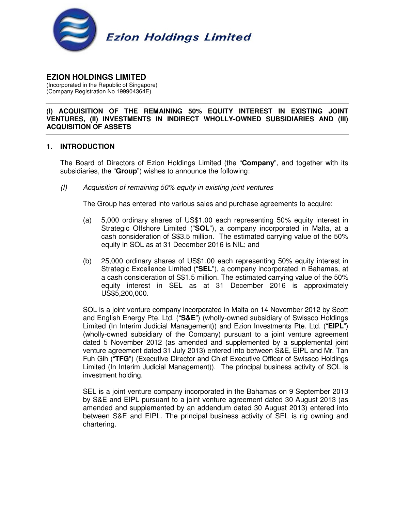

# **EZION HOLDINGS LIMITED**

(Incorporated in the Republic of Singapore) (Company Registration No 199904364E)

#### **(I) ACQUISITION OF THE REMAINING 50% EQUITY INTEREST IN EXISTING JOINT VENTURES, (II) INVESTMENTS IN INDIRECT WHOLLY-OWNED SUBSIDIARIES AND (III) ACQUISITION OF ASSETS**

## **1. INTRODUCTION**

The Board of Directors of Ezion Holdings Limited (the "**Company**", and together with its subsidiaries, the "**Group**") wishes to announce the following:

(I) Acquisition of remaining 50% equity in existing joint ventures

The Group has entered into various sales and purchase agreements to acquire:

- (a) 5,000 ordinary shares of US\$1.00 each representing 50% equity interest in Strategic Offshore Limited ("**SOL**"), a company incorporated in Malta, at a cash consideration of S\$3.5 million. The estimated carrying value of the 50% equity in SOL as at 31 December 2016 is NIL; and
- (b) 25,000 ordinary shares of US\$1.00 each representing 50% equity interest in Strategic Excellence Limited ("**SEL**"), a company incorporated in Bahamas, at a cash consideration of S\$1.5 million. The estimated carrying value of the 50% equity interest in SEL as at 31 December 2016 is approximately US\$5,200,000.

SOL is a joint venture company incorporated in Malta on 14 November 2012 by Scott and English Energy Pte. Ltd. ("**S&E**") (wholly-owned subsidiary of Swissco Holdings Limited (In Interim Judicial Management)) and Ezion Investments Pte. Ltd. ("**EIPL**") (wholly-owned subsidiary of the Company) pursuant to a joint venture agreement dated 5 November 2012 (as amended and supplemented by a supplemental joint venture agreement dated 31 July 2013) entered into between S&E, EIPL and Mr. Tan Fuh Gih ("**TFG**") (Executive Director and Chief Executive Officer of Swissco Holdings Limited (In Interim Judicial Management)). The principal business activity of SOL is investment holding.

SEL is a joint venture company incorporated in the Bahamas on 9 September 2013 by S&E and EIPL pursuant to a joint venture agreement dated 30 August 2013 (as amended and supplemented by an addendum dated 30 August 2013) entered into between S&E and EIPL. The principal business activity of SEL is rig owning and chartering.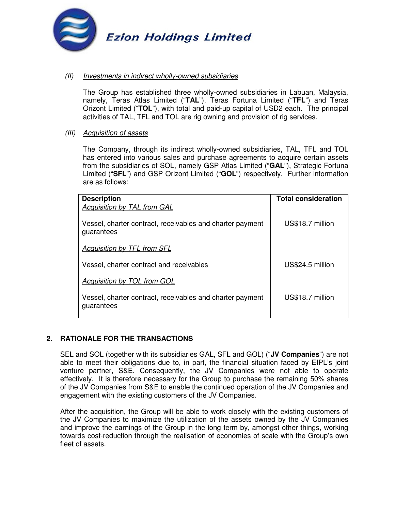

### (II) Investments in indirect wholly-owned subsidiaries

The Group has established three wholly-owned subsidiaries in Labuan, Malaysia, namely, Teras Atlas Limited ("**TAL**"), Teras Fortuna Limited ("**TFL**") and Teras Orizont Limited ("**TOL**"), with total and paid-up capital of USD2 each. The principal activities of TAL, TFL and TOL are rig owning and provision of rig services.

#### (III) Acquisition of assets

The Company, through its indirect wholly-owned subsidiaries, TAL, TFL and TOL has entered into various sales and purchase agreements to acquire certain assets from the subsidiaries of SOL, namely GSP Atlas Limited ("**GAL**"), Strategic Fortuna Limited ("**SFL**") and GSP Orizont Limited ("**GOL**") respectively. Further information are as follows:

| <b>Description</b>                                                                                            | <b>Total consideration</b> |
|---------------------------------------------------------------------------------------------------------------|----------------------------|
| <b>Acquisition by TAL from GAL</b><br>Vessel, charter contract, receivables and charter payment<br>guarantees | US\$18.7 million           |
| Acquisition by TFL from SFL                                                                                   |                            |
| Vessel, charter contract and receivables                                                                      | US\$24.5 million           |
| Acquisition by TOL from GOL                                                                                   |                            |
| Vessel, charter contract, receivables and charter payment<br>guarantees                                       | US\$18.7 million           |

## **2. RATIONALE FOR THE TRANSACTIONS**

SEL and SOL (together with its subsidiaries GAL, SFL and GOL) ("**JV Companies**") are not able to meet their obligations due to, in part, the financial situation faced by EIPL's joint venture partner, S&E. Consequently, the JV Companies were not able to operate effectively. It is therefore necessary for the Group to purchase the remaining 50% shares of the JV Companies from S&E to enable the continued operation of the JV Companies and engagement with the existing customers of the JV Companies.

After the acquisition, the Group will be able to work closely with the existing customers of the JV Companies to maximize the utilization of the assets owned by the JV Companies and improve the earnings of the Group in the long term by, amongst other things, working towards cost-reduction through the realisation of economies of scale with the Group's own fleet of assets.